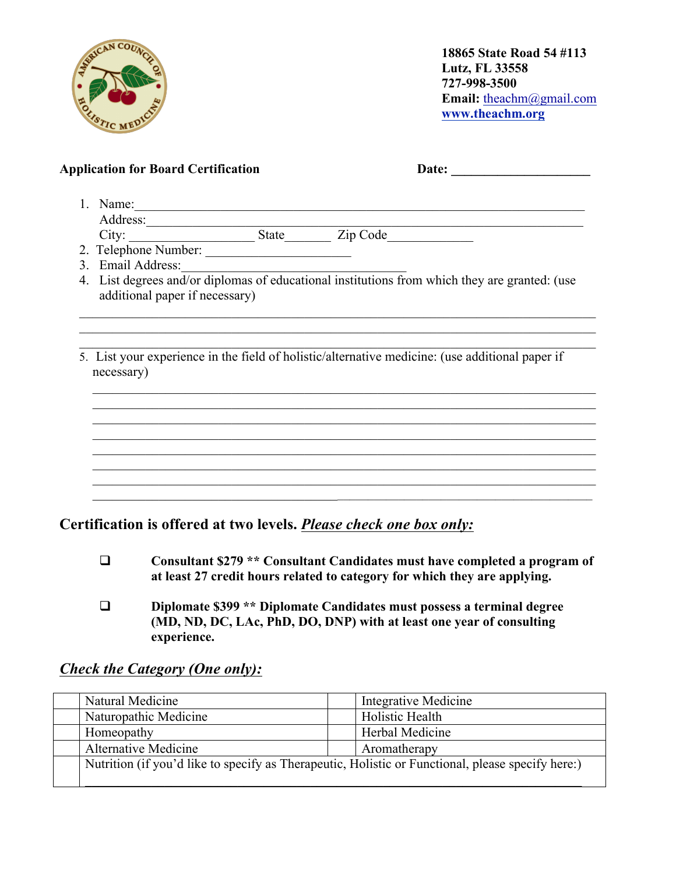

**18865 State Road 54 #113 Lutz, FL 33558 727-998-3500 Email:** theachm@gmail.com **www.theachm.org**

| <b>Application for Board Certification</b>                                                             | Date:                                                                                                                                                                                                                                |
|--------------------------------------------------------------------------------------------------------|--------------------------------------------------------------------------------------------------------------------------------------------------------------------------------------------------------------------------------------|
| 1. Name: $\frac{1}{\sqrt{1-\frac{1}{2}}\sqrt{1-\frac{1}{2}}\sqrt{1-\frac{1}{2}}\sqrt{1-\frac{1}{2}}}}$ |                                                                                                                                                                                                                                      |
|                                                                                                        |                                                                                                                                                                                                                                      |
|                                                                                                        | Address:<br>City: City: State Zip Code<br>2. Telephone Number: City: City: City: City: City: City: City: City: City: City: City: City: City: City: City<br>2. Telephone Number: City: City: City: City: City: City: City: City: City |
|                                                                                                        |                                                                                                                                                                                                                                      |
| 3. Email Address:                                                                                      |                                                                                                                                                                                                                                      |
| additional paper if necessary)                                                                         | 4. List degrees and/or diplomas of educational institutions from which they are granted: (use                                                                                                                                        |
|                                                                                                        |                                                                                                                                                                                                                                      |
| necessary)                                                                                             | 5. List your experience in the field of holistic/alternative medicine: (use additional paper if                                                                                                                                      |
|                                                                                                        |                                                                                                                                                                                                                                      |
|                                                                                                        |                                                                                                                                                                                                                                      |
|                                                                                                        |                                                                                                                                                                                                                                      |
|                                                                                                        |                                                                                                                                                                                                                                      |
|                                                                                                        |                                                                                                                                                                                                                                      |
|                                                                                                        |                                                                                                                                                                                                                                      |

**Certification is offered at two levels.** *Please check one box only:*

- q **Consultant \$279 \*\* Consultant Candidates must have completed a program of at least 27 credit hours related to category for which they are applying.**
- q **Diplomate \$399 \*\* Diplomate Candidates must possess a terminal degree (MD, ND, DC, LAc, PhD, DO, DNP) with at least one year of consulting experience.**

| Natural Medicine            | Integrative Medicine                                                                              |
|-----------------------------|---------------------------------------------------------------------------------------------------|
| Naturopathic Medicine       | Holistic Health                                                                                   |
| Homeopathy                  | Herbal Medicine                                                                                   |
| <b>Alternative Medicine</b> | Aromatherapy                                                                                      |
|                             | Nutrition (if you'd like to specify as Therapeutic, Holistic or Functional, please specify here:) |

## *Check the Category (One only):*